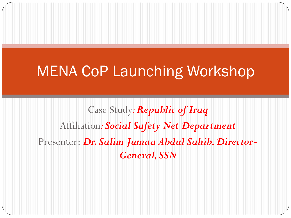## MENA CoP Launching Workshop

Case Study*: Republic of Iraq* Affiliation*: Social Safety Net Department* Presenter: *Dr. Salim Jumaa Abdul Sahib, Director-General, SSN*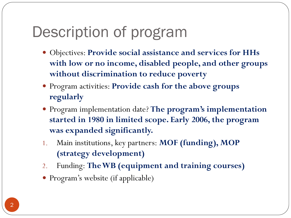# Description of program

- Objectives: **Provide social assistance and services for HHs with low or no income, disabled people, and other groups without discrimination to reduce poverty**
- Program activities: **Provide cash for the above groups regularly**
- Program implementation date? **The program's implementation started in 1980 in limited scope. Early 2006, the program was expanded significantly.**
- 1. Main institutions, key partners: **MOF (funding), MOP (strategy development)**
- 2. Funding: **The WB (equipment and training courses)**
- Program's website (if applicable)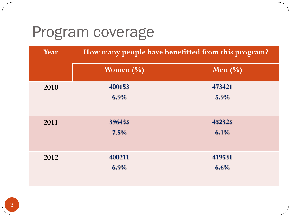## Program coverage

| Year | How many people have benefitted from this program? |                |
|------|----------------------------------------------------|----------------|
|      | Women $(\%)$                                       | Men $(\%)$     |
| 2010 | 400153<br>6.9%                                     | 473421<br>5.9% |
| 2011 | 396435<br>7.5%                                     | 452325<br>6.1% |
| 2012 | 400211<br>6.9%                                     | 419531<br>6.6% |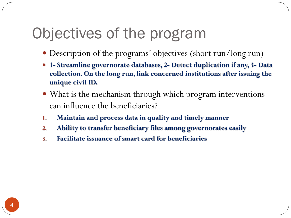## Objectives of the program

- Description of the programs' objectives (short run/long run)
- **1- Streamline governorate databases, 2- Detect duplication if any, 3- Data collection. On the long run, link concerned institutions after issuing the unique civil ID.**
- What is the mechanism through which program interventions can influence the beneficiaries?
- **1. Maintain and process data in quality and timely manner**
- **2. Ability to transfer beneficiary files among governorates easily**
- **3. Facilitate issuance of smart card for beneficiaries**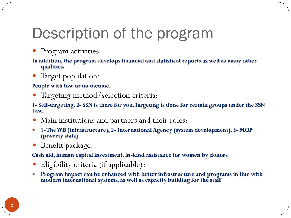# Description of the program

Program activities:

**In addition, the program develops financial and statistical reports as well as many other qualities.** 

Target population:

**People with low or no income.** 

Targeting method/selection criteria:

**1- Self-targeting, 2- SSN is there for you. Targeting is done for certain groups under the SSN Law.** 

- Main institutions and partners and their roles:
- **1-The WB (infrastructure), 2- International Agency (system development), 3- MOP (poverty stats)**
- Benefit package:

**Cash aid, human capital investment, in-kind assistance for women by donors** 

- Eligibility criteria (if applicable):
- **Program impact can be enhanced with better infrastructure and programs in line with modern international systems, as well as capacity building for the staff**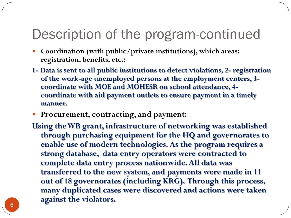### Description of the program-continued

- **Coordination (with public/private institutions), which areas: registration, benefits, etc.:**
- **1- Data is sent to all public institutions to detect violations, 2- registration of the work-age unemployed persons at the employment centers, 3 coordinate with MOE and MOHESR on school attendance, 4 coordinate with aid payment outlets to ensure payment in a timely manner.**
- **Procurement, contracting, and payment:**
- **Using the WB grant, infrastructure of networking was established through purchasing equipment for the HQ and governorates to enable use of modern technologies. As the program requires a strong database, data entry operators were contracted to complete data entry process nationwide. All data was transferred to the new system, and payments were made in 11 out of 18 governorates (including KRG). Through this process, many duplicated cases were discovered and actions were taken against the violators.**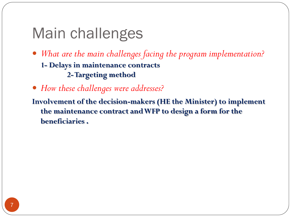## Main challenges

- *What are the main challenges facing the program implementation?*  **1- Delays in maintenance contracts 2-Targeting method**
- *How these challenges were addresses?*

**Involvement of the decision-makers (HE the Minister) to implement the maintenance contract and WFP to design a form for the beneficiaries .**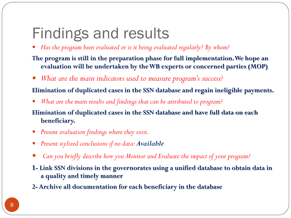# Findings and results

*Has the program been evaluated or is it being evaluated regularly? By whom?*

#### **The program is still in the preparation phase for full implementation. We hope an evaluation will be undertaken by the WB experts or concerned parties (MOP)**

*What are the main indicators used to measure program's success?* 

#### **Elimination of duplicated cases in the SSN database and regain ineligible payments.**

*What are the main results and findings that can be attributed to program?*

#### **Elimination of duplicated cases in the SSN database and have full data on each beneficiary.**

- *Present evaluation findings where they exist.*
- *Present stylized conclusions if no data: Available*
- *Can you briefly describe how you Monitor and Evaluate the impact of your program?*
- **1- Link SSN divisions in the governorates using a unified database to obtain data in a quality and timely manner**
- **2- Archive all documentation for each beneficiary in the database**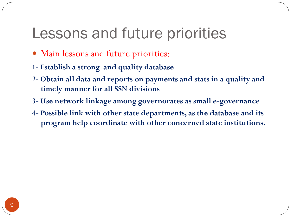### Lessons and future priorities

- Main lessons and future priorities:
- **1- Establish a strong and quality database**
- **2- Obtain all data and reports on payments and stats in a quality and timely manner for all SSN divisions**
- **3- Use network linkage among governorates as small e-governance**
- **4- Possible link with other state departments, as the database and its program help coordinate with other concerned state institutions.**